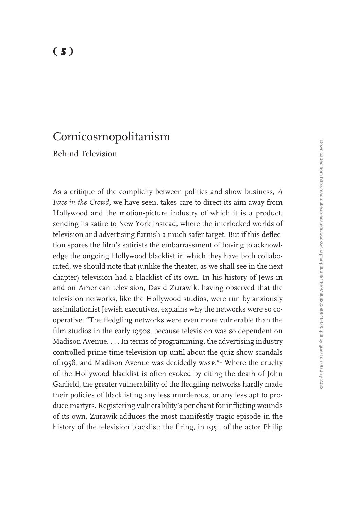# Comicosmopolitanism

Behind Television

As a critique of the complicity between politics and show business, *A Face in the Crowd*, we have seen, takes care to direct its aim away from Hollywood and the motion-picture industry of which it is a product, sending its satire to New York instead, where the interlocked worlds of television and advertising furnish a much safer target. But if this deflection spares the film's satirists the embarrassment of having to acknowledge the ongoing Hollywood blacklist in which they have both collaborated, we should note that (unlike the theater, as we shall see in the next chapter) television had a blacklist of its own. In his history of Jews in and on American television, David Zurawik, having observed that the television networks, like the Hollywood studios, were run by anxiously assimilationist Jewish executives, explains why the networks were so cooperative: "The fledgling networks were even more vulnerable than the film studios in the early 1950s, because television was so dependent on Madison Avenue. . . . In terms of programming, the advertising industry controlled prime-time television up until about the quiz show scandals of 1958, and Madison Avenue was decidedly wasp."<sup>1</sup> Where the cruelty of the Hollywood blacklist is often evoked by citing the death of John Garfield, the greater vulnerability of the fledgling networks hardly made their policies of blacklisting any less murderous, or any less apt to produce martyrs. Registering vulnerability's penchant for inflicting wounds of its own, Zurawik adduces the most manifestly tragic episode in the history of the television blacklist: the firing, in 1951, of the actor Philip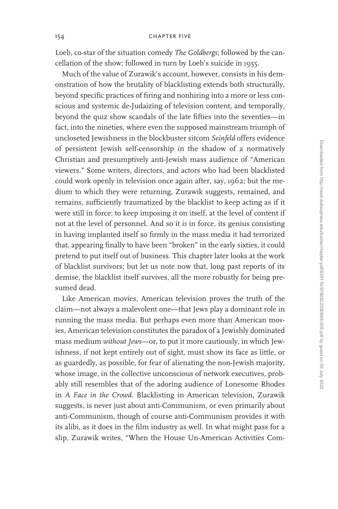Loeb, co-star of the situation comedy *The Goldbergs*; followed by the cancellation of the show; followed in turn by Loeb's suicide in 1955.

Much of the value of Zurawik's account, however, consists in his demonstration of how the brutality of blacklisting extends both structurally, beyond specific practices of firing and nonhiring into a more or less conscious and systemic de-Judaizing of television content, and temporally, beyond the quiz show scandals of the late fifties into the seventies—in fact, into the nineties, where even the supposed mainstream triumph of uncloseted Jewishness in the blockbuster sitcom *Seinfeld* offers evidence of persistent Jewish self-censorship in the shadow of a normatively Christian and presumptively anti-Jewish mass audience of "American viewers." Some writers, directors, and actors who had been blacklisted could work openly in television once again after, say, 1962; but the medium to which they were returning, Zurawik suggests, remained, and remains, sufficiently traumatized by the blacklist to keep acting as if it were still in force: to keep imposing it on itself, at the level of content if not at the level of personnel. And so it *is* in force, its genius consisting in having implanted itself so firmly in the mass media it had terrorized that, appearing finally to have been "broken" in the early sixties, it could pretend to put itself out of business. This chapter later looks at the work of blacklist survivors; but let us note now that, long past reports of its demise, the blacklist itself survives, all the more robustly for being presumed dead.

Like American movies, American television proves the truth of the claim—not always a malevolent one—that Jews play a dominant role in running the mass media. But perhaps even more than American movies, American television constitutes the paradox of a Jewishly dominated mass medium *without Jews*—or, to put it more cautiously, in which Jewishness, if not kept entirely out of sight, must show its face as little, or as guardedly, as possible, for fear of alienating the non-Jewish majority, whose image, in the collective unconscious of network executives, probably still resembles that of the adoring audience of Lonesome Rhodes in *A Face in the Crowd*. Blacklisting in American television, Zurawik suggests, is never just about anti-Communism, or even primarily about anti-Communism, though of course anti-Communism provides it with its alibi, as it does in the film industry as well. In what might pass for a slip, Zurawik writes, "When the House Un-American Activities Com-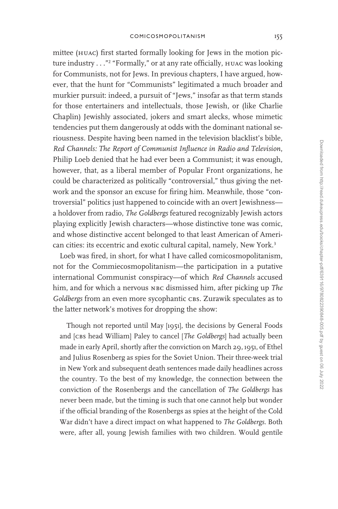mittee (huac) first started formally looking for Jews in the motion picture industry . . ."<sup>2</sup> "Formally," or at any rate officially, huac was looking for Communists, not for Jews. In previous chapters, I have argued, however, that the hunt for "Communists" legitimated a much broader and murkier pursuit: indeed, a pursuit of "Jews," insofar as that term stands for those entertainers and intellectuals, those Jewish, or (like Charlie Chaplin) Jewishly associated, jokers and smart alecks, whose mimetic tendencies put them dangerously at odds with the dominant national seriousness. Despite having been named in the television blacklist's bible, *Red Channels: The Report of Communist Influence in Radio and Television*, Philip Loeb denied that he had ever been a Communist; it was enough, however, that, as a liberal member of Popular Front organizations, he could be characterized as politically "controversial," thus giving the network and the sponsor an excuse for firing him. Meanwhile, those "controversial" politics just happened to coincide with an overt Jewishness a holdover from radio, *The Goldbergs* featured recognizably Jewish actors playing explicitly Jewish characters—whose distinctive tone was comic, and whose distinctive accent belonged to that least American of American cities: its eccentric and exotic cultural capital, namely, New York.<sup>3</sup>

Loeb was fired, in short, for what I have called comicosmopolitanism, not for the Commiecosmopolitanism—the participation in a putative international Communist conspiracy—of which *Red Channels* accused him, and for which a nervous NBC dismissed him, after picking up *The* Goldbergs from an even more sycophantic cBs. Zurawik speculates as to the latter network's motives for dropping the show:

Though not reported until May [1951], the decisions by General Foods and [cbs head William] Paley to cancel [*The Goldbergs*] had actually been made in early April, shortly after the conviction on March 29, 1951, of Ethel and Julius Rosenberg as spies for the Soviet Union. Their three-week trial in New York and subsequent death sentences made daily headlines across the country. To the best of my knowledge, the connection between the conviction of the Rosenbergs and the cancellation of *The Goldbergs* has never been made, but the timing is such that one cannot help but wonder if the official branding of the Rosenbergs as spies at the height of the Cold War didn't have a direct impact on what happened to *The Goldbergs*. Both were, after all, young Jewish families with two children. Would gentile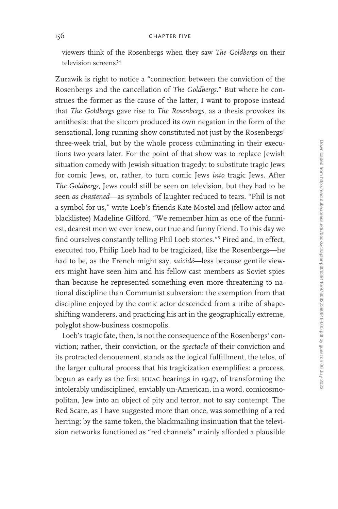viewers think of the Rosenbergs when they saw *The Goldbergs* on their television screens?<sup>4</sup>

Zurawik is right to notice a "connection between the conviction of the Rosenbergs and the cancellation of *The Goldbergs*." But where he construes the former as the cause of the latter, I want to propose instead that *The Goldbergs* gave rise to *The Rosenbergs*, as a thesis provokes its antithesis: that the sitcom produced its own negation in the form of the sensational, long-running show constituted not just by the Rosenbergs' three-week trial, but by the whole process culminating in their executions two years later. For the point of that show was to replace Jewish situation comedy with Jewish situation tragedy: to substitute tragic Jews for comic Jews, or, rather, to turn comic Jews *into* tragic Jews. After *The Goldbergs*, Jews could still be seen on television, but they had to be seen *as chastened*—as symbols of laughter reduced to tears. "Phil is not a symbol for us," write Loeb's friends Kate Mostel and (fellow actor and blacklistee) Madeline Gilford. "We remember him as one of the funniest, dearest men we ever knew, our true and funny friend. To this day we find ourselves constantly telling Phil Loeb stories."<sup>5</sup> Fired and, in effect, executed too, Philip Loeb had to be tragicized, like the Rosenbergs—he had to be, as the French might say, *suicidé*—less because gentile viewers might have seen him and his fellow cast members as Soviet spies than because he represented something even more threatening to national discipline than Communist subversion: the exemption from that discipline enjoyed by the comic actor descended from a tribe of shapeshifting wanderers, and practicing his art in the geographically extreme, polyglot show-business cosmopolis.

Loeb's tragic fate, then, is not the consequence of the Rosenbergs' conviction; rather, their conviction, or the *spectacle* of their conviction and its protracted denouement, stands as the logical fulfillment, the telos, of the larger cultural process that his tragicization exemplifies: a process, begun as early as the first huac hearings in 1947, of transforming the intolerably undisciplined, enviably un-American, in a word, comicosmopolitan, Jew into an object of pity and terror, not to say contempt. The Red Scare, as I have suggested more than once, was something of a red herring; by the same token, the blackmailing insinuation that the television networks functioned as "red channels" mainly afforded a plausible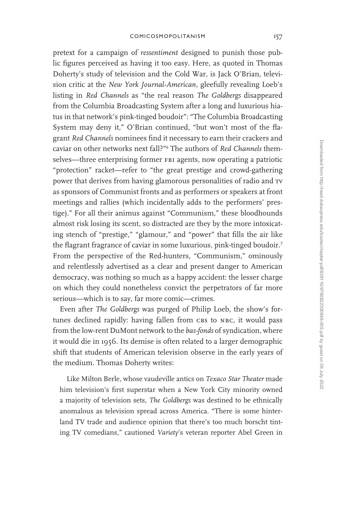pretext for a campaign of *ressentiment* designed to punish those public figures perceived as having it too easy. Here, as quoted in Thomas Doherty's study of television and the Cold War, is Jack O'Brian, television critic at the *New York Journal-American*, gleefully revealing Loeb's listing in *Red Channels* as "the real reason *The Goldbergs* disappeared from the Columbia Broadcasting System after a long and luxurious hiatus in that network's pink-tinged boudoir": "The Columbia Broadcasting System may deny it," O'Brian continued, "but won't most of the flagrant *Red Channels* nominees find it necessary to earn their crackers and caviar on other networks next fall?"<sup>6</sup> The authors of *Red Channels* themselves—three enterprising former FBI agents, now operating a patriotic "protection" racket—refer to "the great prestige and crowd-gathering power that derives from having glamorous personalities of radio and tv as sponsors of Communist fronts and as performers or speakers at front meetings and rallies (which incidentally adds to the performers' prestige)." For all their animus against "Communism," these bloodhounds almost risk losing its scent, so distracted are they by the more intoxicating stench of "prestige," "glamour," and "power" that fills the air like the flagrant fragrance of caviar in some luxurious, pink-tinged boudoir.<sup>7</sup> From the perspective of the Red-hunters, "Communism," ominously and relentlessly advertised as a clear and present danger to American democracy, was nothing so much as a happy accident: the lesser charge on which they could nonetheless convict the perpetrators of far more serious—which is to say, far more comic—crimes.

Even after *The Goldbergs* was purged of Philip Loeb, the show's fortunes declined rapidly: having fallen from CBS to NBC, it would pass from the low-rent DuMont network to the *bas-fonds* of syndication, where it would die in 1956. Its demise is often related to a larger demographic shift that students of American television observe in the early years of the medium. Thomas Doherty writes:

Like Milton Berle, whose vaudeville antics on *Texaco Star Theater* made him television's first superstar when a New York City minority owned a majority of television sets, *The Goldbergs* was destined to be ethnically anomalous as television spread across America. "There is some hinterland TV trade and audience opinion that there's too much borscht tinting TV comedians," cautioned *Variety*'s veteran reporter Abel Green in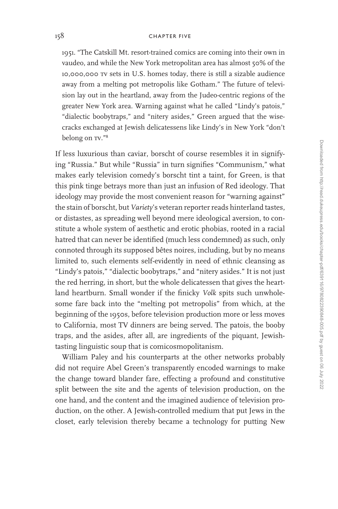1951. "The Catskill Mt. resort-trained comics are coming into their own in vaudeo, and while the New York metropolitan area has almost 50% of the 10,000,000 tv sets in U.S. homes today, there is still a sizable audience away from a melting pot metropolis like Gotham." The future of television lay out in the heartland, away from the Judeo-centric regions of the greater New York area. Warning against what he called "Lindy's patois," "dialectic boobytraps," and "nitery asides," Green argued that the wisecracks exchanged at Jewish delicatessens like Lindy's in New York "don't belong on  $TV.^{"8}$ 

If less luxurious than caviar, borscht of course resembles it in signifying "Russia." But while "Russia" in turn signifies "Communism," what makes early television comedy's borscht tint a taint, for Green, is that this pink tinge betrays more than just an infusion of Red ideology. That ideology may provide the most convenient reason for "warning against" the stain of borscht, but *Variety*'s veteran reporter reads hinterland tastes, or distastes, as spreading well beyond mere ideological aversion, to constitute a whole system of aesthetic and erotic phobias, rooted in a racial hatred that can never be identified (much less condemned) as such, only connoted through its supposed bêtes noires, including, but by no means limited to, such elements self-evidently in need of ethnic cleansing as "Lindy's patois," "dialectic boobytraps," and "nitery asides." It is not just the red herring, in short, but the whole delicatessen that gives the heartland heartburn. Small wonder if the finicky *Volk* spits such unwholesome fare back into the "melting pot metropolis" from which, at the beginning of the 1950s, before television production more or less moves to California, most TV dinners are being served. The patois, the booby traps, and the asides, after all, are ingredients of the piquant, Jewishtasting linguistic soup that is comicosmopolitanism.

William Paley and his counterparts at the other networks probably did not require Abel Green's transparently encoded warnings to make the change toward blander fare, effecting a profound and constitutive split between the site and the agents of television production, on the one hand, and the content and the imagined audience of television production, on the other. A Jewish-controlled medium that put Jews in the closet, early television thereby became a technology for putting New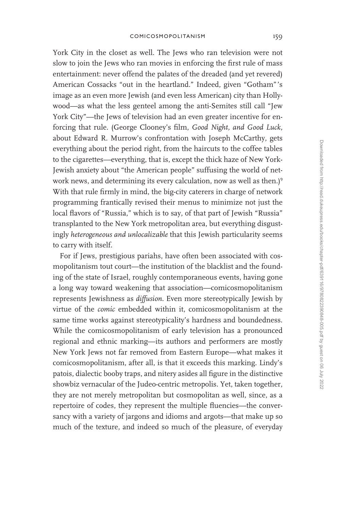York City in the closet as well. The Jews who ran television were not slow to join the Jews who ran movies in enforcing the first rule of mass entertainment: never offend the palates of the dreaded (and yet revered) American Cossacks "out in the heartland." Indeed, given "Gotham" 's image as an even more Jewish (and even less American) city than Hollywood—as what the less genteel among the anti-Semites still call "Jew York City"—the Jews of television had an even greater incentive for enforcing that rule. (George Clooney's film, *Good Night, and Good Luck*, about Edward R. Murrow's confrontation with Joseph McCarthy, gets everything about the period right, from the haircuts to the coffee tables to the cigarettes—everything, that is, except the thick haze of New York-Jewish anxiety about "the American people" suffusing the world of network news, and determining its every calculation, now as well as then.)<sup>9</sup> With that rule firmly in mind, the big-city caterers in charge of network programming frantically revised their menus to minimize not just the local flavors of "Russia," which is to say, of that part of Jewish "Russia" transplanted to the New York metropolitan area, but everything disgustingly *heterogeneous and unlocalizable* that this Jewish particularity seems to carry with itself.

For if Jews, prestigious pariahs, have often been associated with cosmopolitanism tout court—the institution of the blacklist and the founding of the state of Israel, roughly contemporaneous events, having gone a long way toward weakening that association—comicosmopolitanism represents Jewishness as *diffusion*. Even more stereotypically Jewish by virtue of the *comic* embedded within it, comicosmopolitanism at the same time works against stereotypicality's hardness and boundedness. While the comicosmopolitanism of early television has a pronounced regional and ethnic marking—its authors and performers are mostly New York Jews not far removed from Eastern Europe—what makes it comicosmopolitanism, after all, is that it exceeds this marking. Lindy's patois, dialectic booby traps, and nitery asides all figure in the distinctive showbiz vernacular of the Judeo-centric metropolis. Yet, taken together, they are not merely metropolitan but cosmopolitan as well, since, as a repertoire of codes, they represent the multiple fluencies—the conversancy with a variety of jargons and idioms and argots—that make up so much of the texture, and indeed so much of the pleasure, of everyday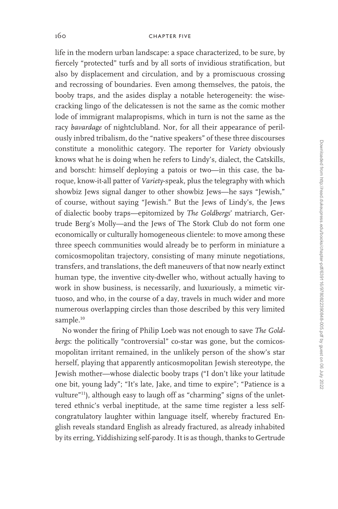life in the modern urban landscape: a space characterized, to be sure, by fiercely "protected" turfs and by all sorts of invidious stratification, but also by displacement and circulation, and by a promiscuous crossing and recrossing of boundaries. Even among themselves, the patois, the booby traps, and the asides display a notable heterogeneity: the wisecracking lingo of the delicatessen is not the same as the comic mother lode of immigrant malapropisms, which in turn is not the same as the racy *bavardage* of nightclubland. Nor, for all their appearance of perilously inbred tribalism, do the "native speakers" of these three discourses constitute a monolithic category. The reporter for *Variety* obviously knows what he is doing when he refers to Lindy's, dialect, the Catskills, and borscht: himself deploying a patois or two—in this case, the baroque, know-it-all patter of *Variety*-speak, plus the telegraphy with which showbiz Jews signal danger to other showbiz Jews—he says "Jewish," of course, without saying "Jewish." But the Jews of Lindy's, the Jews of dialectic booby traps—epitomized by *The Goldbergs*' matriarch, Gertrude Berg's Molly—and the Jews of The Stork Club do not form one economically or culturally homogeneous clientele: to move among these three speech communities would already be to perform in miniature a comicosmopolitan trajectory, consisting of many minute negotiations, transfers, and translations, the deft maneuvers of that now nearly extinct human type, the inventive city-dweller who, without actually having to work in show business, is necessarily, and luxuriously, a mimetic virtuoso, and who, in the course of a day, travels in much wider and more numerous overlapping circles than those described by this very limited sample.<sup>10</sup>

No wonder the firing of Philip Loeb was not enough to save *The Goldbergs*: the politically "controversial" co-star was gone, but the comicosmopolitan irritant remained, in the unlikely person of the show's star herself, playing that apparently anticosmopolitan Jewish stereotype, the Jewish mother—whose dialectic booby traps ("I don't like your latitude one bit, young lady"; "It's late, Jake, and time to expire"; "Patience is a vulture"11), although easy to laugh off as "charming" signs of the unlettered ethnic's verbal ineptitude, at the same time register a less selfcongratulatory laughter within language itself, whereby fractured English reveals standard English as already fractured, as already inhabited by its erring, Yiddishizing self-parody. It is as though, thanks to Gertrude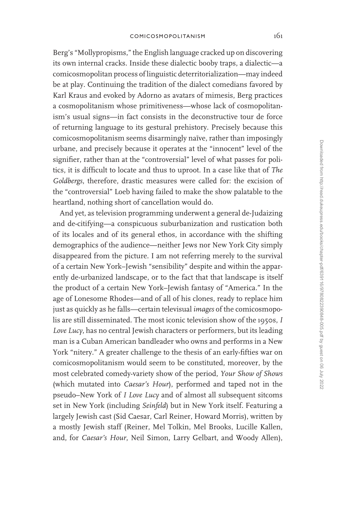Berg's "Mollypropisms," the English language cracked up on discovering its own internal cracks. Inside these dialectic booby traps, a dialectic—a comicosmopolitan process of linguistic deterritorialization—may indeed be at play. Continuing the tradition of the dialect comedians favored by Karl Kraus and evoked by Adorno as avatars of mimesis, Berg practices a cosmopolitanism whose primitiveness—whose lack of cosmopolitanism's usual signs—in fact consists in the deconstructive tour de force of returning language to its gestural prehistory. Precisely because this comicosmopolitanism seems disarmingly naïve, rather than imposingly urbane, and precisely because it operates at the "innocent" level of the signifier, rather than at the "controversial" level of what passes for politics, it is difficult to locate and thus to uproot. In a case like that of *The Goldbergs*, therefore, drastic measures were called for: the excision of the "controversial" Loeb having failed to make the show palatable to the heartland, nothing short of cancellation would do.

And yet, as television programming underwent a general de-Judaizing and de-citifying—a conspicuous suburbanization and rustication both of its locales and of its general ethos, in accordance with the shifting demographics of the audience—neither Jews nor New York City simply disappeared from the picture. I am not referring merely to the survival of a certain New York–Jewish "sensibility" despite and within the apparently de-urbanized landscape, or to the fact that that landscape is itself the product of a certain New York–Jewish fantasy of "America." In the age of Lonesome Rhodes—and of all of his clones, ready to replace him just as quickly as he falls—certain televisual *images* of the comicosmopolis are still disseminated. The most iconic television show of the 1950s, *I Love Lucy*, has no central Jewish characters or performers, but its leading man is a Cuban American bandleader who owns and performs in a New York "nitery." A greater challenge to the thesis of an early-fifties war on comicosmopolitanism would seem to be constituted, moreover, by the most celebrated comedy-variety show of the period, *Your Show of Shows* (which mutated into *Caesar's Hour*), performed and taped not in the pseudo–New York of *I Love Lucy* and of almost all subsequent sitcoms set in New York (including *Seinfeld*) but in New York itself. Featuring a largely Jewish cast (Sid Caesar, Carl Reiner, Howard Morris), written by a mostly Jewish staff (Reiner, Mel Tolkin, Mel Brooks, Lucille Kallen, and, for *Caesar's Hour*, Neil Simon, Larry Gelbart, and Woody Allen),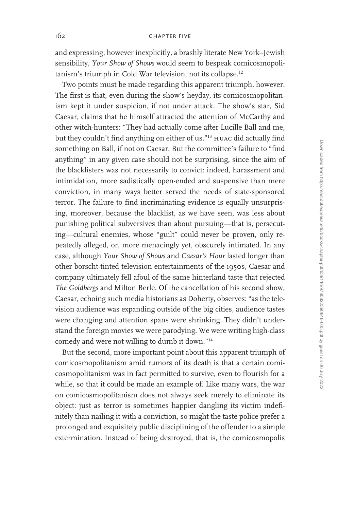and expressing, however inexplicitly, a brashly literate New York–Jewish sensibility, *Your Show of Shows* would seem to bespeak comicosmopolitanism's triumph in Cold War television, not its collapse.<sup>12</sup>

Two points must be made regarding this apparent triumph, however. The first is that, even during the show's heyday, its comicosmopolitanism kept it under suspicion, if not under attack. The show's star, Sid Caesar, claims that he himself attracted the attention of McCarthy and other witch-hunters: "They had actually come after Lucille Ball and me, but they couldn't find anything on either of us."<sup>13</sup> HUAC did actually find something on Ball, if not on Caesar. But the committee's failure to "find anything" in any given case should not be surprising, since the aim of the blacklisters was not necessarily to convict: indeed, harassment and intimidation, more sadistically open-ended and suspensive than mere conviction, in many ways better served the needs of state-sponsored terror. The failure to find incriminating evidence is equally unsurprising, moreover, because the blacklist, as we have seen, was less about punishing political subversives than about pursuing—that is, persecuting—cultural enemies, whose "guilt" could never be proven, only repeatedly alleged, or, more menacingly yet, obscurely intimated. In any case, although *Your Show of Shows* and *Caesar's Hour* lasted longer than other borscht-tinted television entertainments of the 1950s, Caesar and company ultimately fell afoul of the same hinterland taste that rejected *The Goldbergs* and Milton Berle. Of the cancellation of his second show, Caesar, echoing such media historians as Doherty, observes: "as the television audience was expanding outside of the big cities, audience tastes were changing and attention spans were shrinking. They didn't understand the foreign movies we were parodying. We were writing high-class comedy and were not willing to dumb it down."<sup>14</sup>

But the second, more important point about this apparent triumph of comicosmopolitanism amid rumors of its death is that a certain comicosmopolitanism was in fact permitted to survive, even to flourish for a while, so that it could be made an example of. Like many wars, the war on comicosmopolitanism does not always seek merely to eliminate its object: just as terror is sometimes happier dangling its victim indefinitely than nailing it with a conviction, so might the taste police prefer a prolonged and exquisitely public disciplining of the offender to a simple extermination. Instead of being destroyed, that is, the comicosmopolis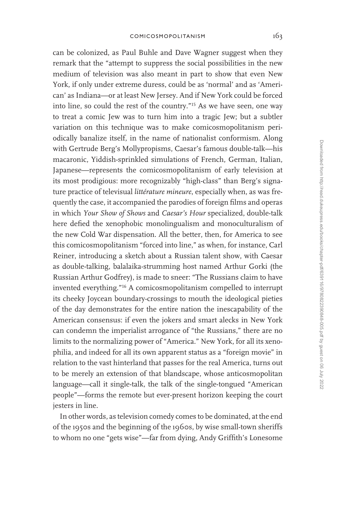can be colonized, as Paul Buhle and Dave Wagner suggest when they remark that the "attempt to suppress the social possibilities in the new medium of television was also meant in part to show that even New York, if only under extreme duress, could be as 'normal' and as 'American' as Indiana—or at least New Jersey. And if New York could be forced into line, so could the rest of the country."<sup>15</sup> As we have seen, one way to treat a comic Jew was to turn him into a tragic Jew; but a subtler variation on this technique was to make comicosmopolitanism periodically banalize itself, in the name of nationalist conformism. Along with Gertrude Berg's Mollypropisms, Caesar's famous double-talk—his macaronic, Yiddish-sprinkled simulations of French, German, Italian, Japanese—represents the comicosmopolitanism of early television at its most prodigious: more recognizably "high-class" than Berg's signature practice of televisual *littérature mineure*, especially when, as was frequently the case, it accompanied the parodies of foreign films and operas in which *Your Show of Shows* and *Caesar's Hour* specialized, double-talk here defied the xenophobic monolingualism and monoculturalism of the new Cold War dispensation. All the better, then, for America to see this comicosmopolitanism "forced into line," as when, for instance, Carl Reiner, introducing a sketch about a Russian talent show, with Caesar as double-talking, balalaika-strumming host named Arthur Gorki (the Russian Arthur Godfrey), is made to sneer: "The Russians claim to have invented everything."<sup>16</sup> A comicosmopolitanism compelled to interrupt its cheeky Joycean boundary-crossings to mouth the ideological pieties of the day demonstrates for the entire nation the inescapability of the American consensus: if even the jokers and smart alecks in New York can condemn the imperialist arrogance of "the Russians," there are no limits to the normalizing power of "America." New York, for all its xenophilia, and indeed for all its own apparent status as a "foreign movie" in relation to the vast hinterland that passes for the real America, turns out to be merely an extension of that blandscape, whose anticosmopolitan language—call it single-talk, the talk of the single-tongued "American people"—forms the remote but ever-present horizon keeping the court jesters in line.

In other words, as television comedy comes to be dominated, at the end of the 1950s and the beginning of the 1960s, by wise small-town sheriffs to whom no one "gets wise"—far from dying, Andy Griffith's Lonesome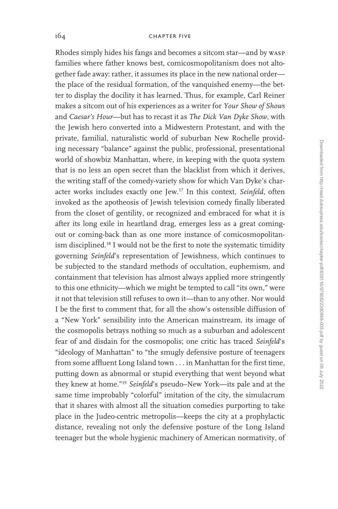Rhodes simply hides his fangs and becomes a sitcom star—and by wasp families where father knows best, comicosmopolitanism does not altogether fade away: rather, it assumes its place in the new national order the place of the residual formation, of the vanquished enemy—the better to display the docility it has learned. Thus, for example, Carl Reiner makes a sitcom out of his experiences as a writer for *Your Show of Shows* and *Caesar's Hour*—but has to recast it as *The Dick Van Dyke Show*, with the Jewish hero converted into a Midwestern Protestant, and with the private, familial, naturalistic world of suburban New Rochelle providing necessary "balance" against the public, professional, presentational world of showbiz Manhattan, where, in keeping with the quota system that is no less an open secret than the blacklist from which it derives, the writing staff of the comedy-variety show for which Van Dyke's character works includes exactly one Jew.<sup>17</sup> In this context, *Seinfeld*, often invoked as the apotheosis of Jewish television comedy finally liberated from the closet of gentility, or recognized and embraced for what it is after its long exile in heartland drag, emerges less as a great comingout or coming-back than as one more instance of comicosmopolitanism disciplined.<sup>18</sup> I would not be the first to note the systematic timidity governing *Seinfeld*'s representation of Jewishness, which continues to be subjected to the standard methods of occultation, euphemism, and containment that television has almost always applied more stringently to this one ethnicity—which we might be tempted to call "its own," were it not that television still refuses to own it—than to any other. Nor would I be the first to comment that, for all the show's ostensible diffusion of a "New York" sensibility into the American mainstream, its image of the cosmopolis betrays nothing so much as a suburban and adolescent fear of and disdain for the cosmopolis; one critic has traced *Seinfeld*'s "ideology of Manhattan" to "the smugly defensive posture of teenagers from some affluent Long Island town . . . in Manhattan for the first time, putting down as abnormal or stupid everything that went beyond what they knew at home."<sup>19</sup> *Seinfeld*'s pseudo–New York—its pale and at the same time improbably "colorful" imitation of the city, the simulacrum that it shares with almost all the situation comedies purporting to take place in the Judeo-centric metropolis—keeps the city at a prophylactic distance, revealing not only the defensive posture of the Long Island teenager but the whole hygienic machinery of American normativity, of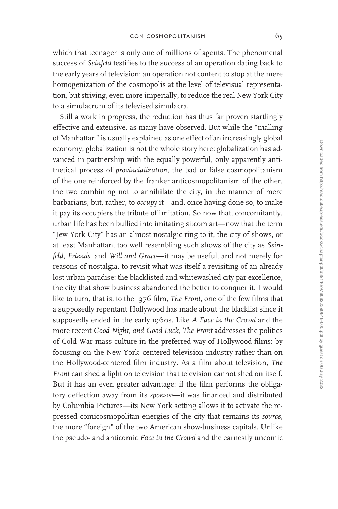which that teenager is only one of millions of agents. The phenomenal success of *Seinfeld* testifies to the success of an operation dating back to the early years of television: an operation not content to stop at the mere homogenization of the cosmopolis at the level of televisual representation, but striving, even more imperially, to reduce the real New York City to a simulacrum of its televised simulacra.

Still a work in progress, the reduction has thus far proven startlingly effective and extensive, as many have observed. But while the "malling of Manhattan" is usually explained as one effect of an increasingly global economy, globalization is not the whole story here: globalization has advanced in partnership with the equally powerful, only apparently antithetical process of *provincialization*, the bad or false cosmopolitanism of the one reinforced by the franker anticosmopolitanism of the other, the two combining not to annihilate the city, in the manner of mere barbarians, but, rather, to *occupy* it—and, once having done so, to make it pay its occupiers the tribute of imitation. So now that, concomitantly, urban life has been bullied into imitating sitcom art—now that the term "Jew York City" has an almost nostalgic ring to it, the city of shows, or at least Manhattan, too well resembling such shows of the city as *Seinfeld*, *Friends*, and *Will and Grace*—it may be useful, and not merely for reasons of nostalgia, to revisit what was itself a revisiting of an already lost urban paradise: the blacklisted and whitewashed city par excellence, the city that show business abandoned the better to conquer it. I would like to turn, that is, to the 1976 film, *The Front*, one of the few films that a supposedly repentant Hollywood has made about the blacklist since it supposedly ended in the early 1960s. Like *A Face in the Crowd* and the more recent *Good Night, and Good Luck*, *The Front* addresses the politics of Cold War mass culture in the preferred way of Hollywood films: by focusing on the New York–centered television industry rather than on the Hollywood-centered film industry. As a film about television, *The Front* can shed a light on television that television cannot shed on itself. But it has an even greater advantage: if the film performs the obligatory deflection away from its *sponsor*—it was financed and distributed by Columbia Pictures—its New York setting allows it to activate the repressed comicosmopolitan energies of the city that remains its *source*, the more "foreign" of the two American show-business capitals. Unlike the pseudo- and anticomic *Face in the Crowd* and the earnestly uncomic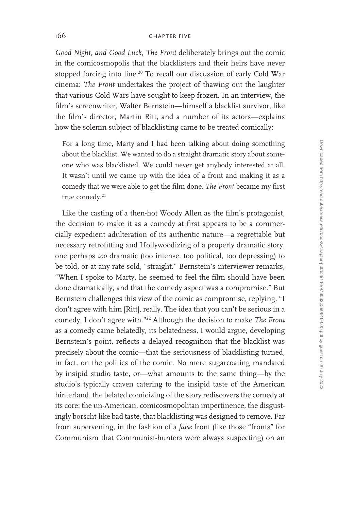*Good Night, and Good Luck*, *The Front* deliberately brings out the comic in the comicosmopolis that the blacklisters and their heirs have never stopped forcing into line.<sup>20</sup> To recall our discussion of early Cold War cinema: *The Front* undertakes the project of thawing out the laughter that various Cold Wars have sought to keep frozen. In an interview, the film's screenwriter, Walter Bernstein—himself a blacklist survivor, like the film's director, Martin Ritt, and a number of its actors—explains how the solemn subject of blacklisting came to be treated comically:

For a long time, Marty and I had been talking about doing something about the blacklist. We wanted to do a straight dramatic story about someone who was blacklisted. We could never get anybody interested at all. It wasn't until we came up with the idea of a front and making it as a comedy that we were able to get the film done. *The Front* became my first true comedy.<sup>21</sup>

Like the casting of a then-hot Woody Allen as the film's protagonist, the decision to make it as a comedy at first appears to be a commercially expedient adulteration of its authentic nature—a regrettable but necessary retrofitting and Hollywoodizing of a properly dramatic story, one perhaps *too* dramatic (too intense, too political, too depressing) to be told, or at any rate sold, "straight." Bernstein's interviewer remarks, "When I spoke to Marty, he seemed to feel the film should have been done dramatically, and that the comedy aspect was a compromise." But Bernstein challenges this view of the comic as compromise, replying, "I don't agree with him [Ritt], really. The idea that you can't be serious in a comedy, I don't agree with."<sup>22</sup> Although the decision to make *The Front* as a comedy came belatedly, its belatedness, I would argue, developing Bernstein's point, reflects a delayed recognition that the blacklist was precisely about the comic—that the seriousness of blacklisting turned, in fact, on the politics of the comic. No mere sugarcoating mandated by insipid studio taste, or—what amounts to the same thing—by the studio's typically craven catering to the insipid taste of the American hinterland, the belated comicizing of the story rediscovers the comedy at its core: the un-American, comicosmopolitan impertinence, the disgustingly borscht-like bad taste, that blacklisting was designed to remove. Far from supervening, in the fashion of a *false* front (like those "fronts" for Communism that Communist-hunters were always suspecting) on an

Downloaded from http://read.dukeupress.edu/books/chapter-pdf639116/9780822390848-005.pdf by guest on 06 July 2022 Downloaded from http://read.dukeupress.edu/books/chapter-pdf/639116/9780822390848-005.pdf by guest on 06 July 2022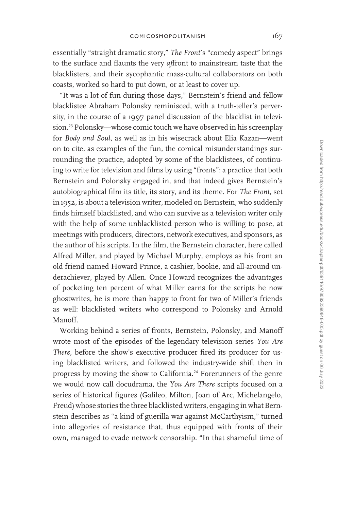essentially "straight dramatic story," *The Front*'s "comedy aspect" brings to the surface and flaunts the very *af*front to mainstream taste that the blacklisters, and their sycophantic mass-cultural collaborators on both coasts, worked so hard to put down, or at least to cover up.

"It was a lot of fun during those days," Bernstein's friend and fellow blacklistee Abraham Polonsky reminisced, with a truth-teller's perversity, in the course of a 1997 panel discussion of the blacklist in television.<sup>23</sup> Polonsky—whose comic touch we have observed in his screenplay for *Body and Soul*, as well as in his wisecrack about Elia Kazan—went on to cite, as examples of the fun, the comical misunderstandings surrounding the practice, adopted by some of the blacklistees, of continuing to write for television and films by using "fronts": a practice that both Bernstein and Polonsky engaged in, and that indeed gives Bernstein's autobiographical film its title, its story, and its theme. For *The Front*, set in 1952, is about a television writer, modeled on Bernstein, who suddenly finds himself blacklisted, and who can survive as a television writer only with the help of some unblacklisted person who is willing to pose, at meetings with producers, directors, network executives, and sponsors, as the author of his scripts. In the film, the Bernstein character, here called Alfred Miller, and played by Michael Murphy, employs as his front an old friend named Howard Prince, a cashier, bookie, and all-around underachiever, played by Allen. Once Howard recognizes the advantages of pocketing ten percent of what Miller earns for the scripts he now ghostwrites, he is more than happy to front for two of Miller's friends as well: blacklisted writers who correspond to Polonsky and Arnold Manoff.

Working behind a series of fronts, Bernstein, Polonsky, and Manoff wrote most of the episodes of the legendary television series *You Are There*, before the show's executive producer fired its producer for using blacklisted writers, and followed the industry-wide shift then in progress by moving the show to California.<sup>24</sup> Forerunners of the genre we would now call docudrama, the *You Are There* scripts focused on a series of historical figures (Galileo, Milton, Joan of Arc, Michelangelo, Freud) whose stories the three blacklisted writers, engaging in what Bernstein describes as "a kind of guerilla war against McCarthyism," turned into allegories of resistance that, thus equipped with fronts of their own, managed to evade network censorship. "In that shameful time of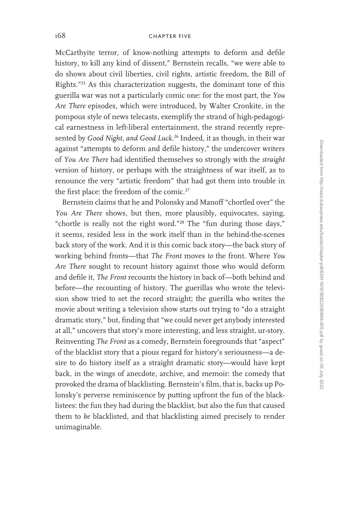McCarthyite terror, of know-nothing attempts to deform and defile history, to kill any kind of dissent," Bernstein recalls, "we were able to do shows about civil liberties, civil rights, artistic freedom, the Bill of Rights."<sup>25</sup> As this characterization suggests, the dominant tone of this guerilla war was not a particularly comic one: for the most part, the *You Are There* episodes, which were introduced, by Walter Cronkite, in the pompous style of news telecasts, exemplify the strand of high-pedagogical earnestness in left-liberal entertainment, the strand recently represented by *Good Night, and Good Luck*. <sup>26</sup> Indeed, it as though, in their war against "attempts to deform and defile history," the undercover writers of *You Are There* had identified themselves so strongly with the *straight* version of history, or perhaps with the straightness of war itself, as to renounce the very "artistic freedom" that had got them into trouble in the first place: the freedom of the comic.<sup>27</sup>

Bernstein claims that he and Polonsky and Manoff "chortled over" the *You Are There* shows, but then, more plausibly, equivocates, saying, "chortle is really not the right word."<sup>28</sup> The "fun during those days," it seems, resided less in the work itself than in the behind-the-scenes back story of the work. And it is this comic back story—the back story of working behind fronts—that *The Front* moves *to* the front. Where *You Are There* sought to recount history against those who would deform and defile it, *The Front* recounts the history in back of—both behind and before—the recounting of history. The guerillas who wrote the television show tried to set the record straight; the guerilla who writes the movie about writing a television show starts out trying to "do a straight dramatic story," but, finding that "we could never get anybody interested at all," uncovers that story's more interesting, and less straight, ur-story. Reinventing *The Front* as a comedy, Bernstein foregrounds that "aspect" of the blacklist story that a pious regard for history's seriousness—a desire to do history itself as a straight dramatic story—would have kept back, in the wings of anecdote, archive, and memoir: the comedy that provoked the drama of blacklisting. Bernstein's film, that is, backs up Polonsky's perverse reminiscence by putting upfront the fun of the blacklistees: the fun they had during the blacklist, but also the fun that caused them to *be* blacklisted, and that blacklisting aimed precisely to render unimaginable.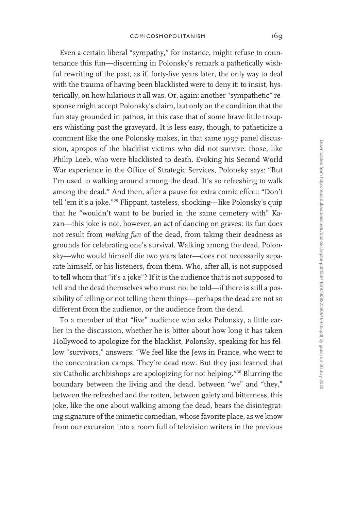Even a certain liberal "sympathy," for instance, might refuse to countenance this fun—discerning in Polonsky's remark a pathetically wishful rewriting of the past, as if, forty-five years later, the only way to deal with the trauma of having been blacklisted were to deny it: to insist, hysterically, on how hilarious it all was. Or, again: another "sympathetic" response might accept Polonsky's claim, but only on the condition that the fun stay grounded in pathos, in this case that of some brave little troupers whistling past the graveyard. It is less easy, though, to patheticize a comment like the one Polonsky makes, in that same 1997 panel discussion, apropos of the blacklist victims who did not survive: those, like Philip Loeb, who were blacklisted to death. Evoking his Second World War experience in the Office of Strategic Services, Polonsky says: "But I'm used to walking around among the dead. It's so refreshing to walk among the dead." And then, after a pause for extra comic effect: "Don't tell 'em it's a joke."<sup>29</sup> Flippant, tasteless, shocking—like Polonsky's quip that he "wouldn't want to be buried in the same cemetery with" Kazan—this joke is not, however, an act of dancing on graves: its fun does not result from *making fun* of the dead, from taking their deadness as grounds for celebrating one's survival. Walking among the dead, Polonsky—who would himself die two years later—does not necessarily separate himself, or his listeners, from them. Who, after all, is not supposed to tell whom that "it's a joke"? If it is the audience that is not supposed to tell and the dead themselves who must not be told—if there is still a possibility of telling or not telling them things—perhaps the dead are not so different from the audience, or the audience from the dead.

To a member of that "live" audience who asks Polonsky, a little earlier in the discussion, whether he is bitter about how long it has taken Hollywood to apologize for the blacklist, Polonsky, speaking for his fellow "survivors," answers: "We feel like the Jews in France, who went to the concentration camps. They're dead now. But they just learned that six Catholic archbishops are apologizing for not helping."<sup>30</sup> Blurring the boundary between the living and the dead, between "we" and "they," between the refreshed and the rotten, between gaiety and bitterness, this joke, like the one about walking among the dead, bears the disintegrating signature of the mimetic comedian, whose favorite place, as we know from our excursion into a room full of television writers in the previous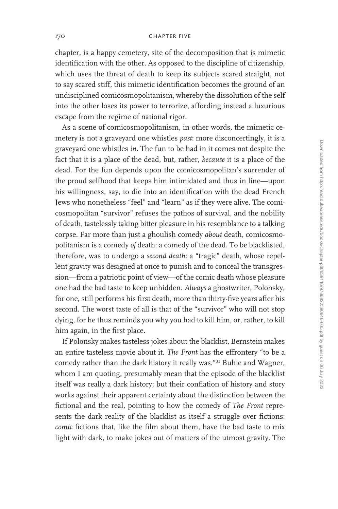chapter, is a happy cemetery, site of the decomposition that is mimetic identification with the other. As opposed to the discipline of citizenship, which uses the threat of death to keep its subjects scared straight, not to say scared stiff, this mimetic identification becomes the ground of an undisciplined comicosmopolitanism, whereby the dissolution of the self into the other loses its power to terrorize, affording instead a luxurious escape from the regime of national rigor.

As a scene of comicosmopolitanism, in other words, the mimetic cemetery is not a graveyard one whistles *past*: more disconcertingly, it is a graveyard one whistles *in*. The fun to be had in it comes not despite the fact that it is a place of the dead, but, rather, *because* it is a place of the dead. For the fun depends upon the comicosmopolitan's surrender of the proud selfhood that keeps him intimidated and thus in line—upon his willingness, say, to die into an identification with the dead French Jews who nonetheless "feel" and "learn" as if they were alive. The comicosmopolitan "survivor" refuses the pathos of survival, and the nobility of death, tastelessly taking bitter pleasure in his resemblance to a talking corpse. Far more than just a ghoulish comedy *about* death, comicosmopolitanism is a comedy *of* death: a comedy of the dead. To be blacklisted, therefore, was to undergo a *second death*: a "tragic" death, whose repellent gravity was designed at once to punish and to conceal the transgression—from a patriotic point of view—of the comic death whose pleasure one had the bad taste to keep unhidden. *Always* a ghostwriter, Polonsky, for one, still performs his first death, more than thirty-five years after his second. The worst taste of all is that of the "survivor" who will not stop dying, for he thus reminds you why you had to kill him, or, rather, to kill him again, in the first place.

If Polonsky makes tasteless jokes about the blacklist, Bernstein makes an entire tasteless movie about it. *The Front* has the effrontery "to be a comedy rather than the dark history it really was."<sup>31</sup> Buhle and Wagner, whom I am quoting, presumably mean that the episode of the blacklist itself was really a dark history; but their conflation of history and story works against their apparent certainty about the distinction between the fictional and the real, pointing to how the comedy of *The Front* represents the dark reality of the blacklist as itself a struggle over fictions: *comic* fictions that, like the film about them, have the bad taste to mix light with dark, to make jokes out of matters of the utmost gravity. The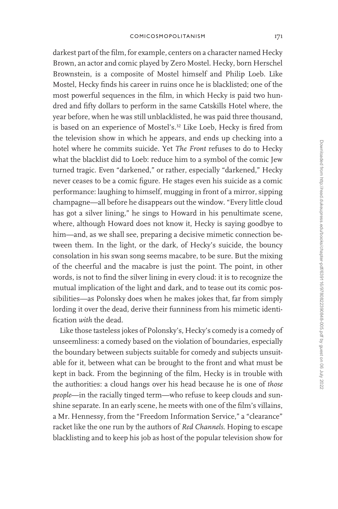darkest part of the film, for example, centers on a character named Hecky Brown, an actor and comic played by Zero Mostel. Hecky, born Herschel Brownstein, is a composite of Mostel himself and Philip Loeb. Like Mostel, Hecky finds his career in ruins once he is blacklisted; one of the most powerful sequences in the film, in which Hecky is paid two hundred and fifty dollars to perform in the same Catskills Hotel where, the year before, when he was still unblacklisted, he was paid three thousand, is based on an experience of Mostel's.<sup>32</sup> Like Loeb, Hecky is fired from the television show in which he appears, and ends up checking into a hotel where he commits suicide. Yet *The Front* refuses to do to Hecky what the blacklist did to Loeb: reduce him to a symbol of the comic Jew turned tragic. Even "darkened," or rather, especially "darkened," Hecky never ceases to be a comic figure. He stages even his suicide as a comic performance: laughing to himself, mugging in front of a mirror, sipping champagne—all before he disappears out the window. "Every little cloud has got a silver lining," he sings to Howard in his penultimate scene, where, although Howard does not know it, Hecky is saying goodbye to him—and, as we shall see, preparing a decisive mimetic connection between them. In the light, or the dark, of Hecky's suicide, the bouncy consolation in his swan song seems macabre, to be sure. But the mixing of the cheerful and the macabre is just the point. The point, in other words, is not to find the silver lining in every cloud: it is to recognize the mutual implication of the light and dark, and to tease out its comic possibilities—as Polonsky does when he makes jokes that, far from simply lording it over the dead, derive their funniness from his mimetic identification *with* the dead.

Like those tasteless jokes of Polonsky's, Hecky's comedy is a comedy of unseemliness: a comedy based on the violation of boundaries, especially the boundary between subjects suitable for comedy and subjects unsuitable for it, between what can be brought to the front and what must be kept in back. From the beginning of the film, Hecky is in trouble with the authorities: a cloud hangs over his head because he is one of *those people*—in the racially tinged term—who refuse to keep clouds and sunshine separate. In an early scene, he meets with one of the film's villains, a Mr. Hennessy, from the "Freedom Information Service," a "clearance" racket like the one run by the authors of *Red Channels*. Hoping to escape blacklisting and to keep his job as host of the popular television show for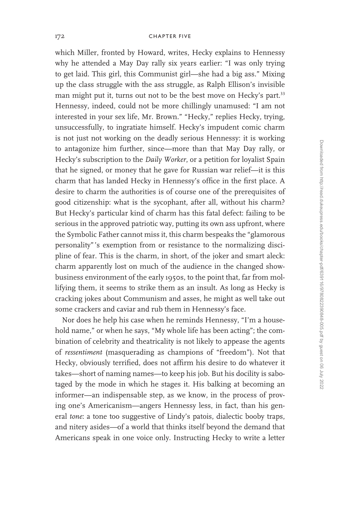which Miller, fronted by Howard, writes, Hecky explains to Hennessy why he attended a May Day rally six years earlier: "I was only trying to get laid. This girl, this Communist girl—she had a big ass." Mixing up the class struggle with the ass struggle, as Ralph Ellison's invisible man might put it, turns out not to be the best move on Hecky's part.<sup>33</sup> Hennessy, indeed, could not be more chillingly unamused: "I am not interested in your sex life, Mr. Brown." "Hecky," replies Hecky, trying, unsuccessfully, to ingratiate himself. Hecky's impudent comic charm is not just not working on the deadly serious Hennessy: it is working to antagonize him further, since—more than that May Day rally, or Hecky's subscription to the *Daily Worker*, or a petition for loyalist Spain that he signed, or money that he gave for Russian war relief—it is this charm that has landed Hecky in Hennessy's office in the first place. A desire to charm the authorities is of course one of the prerequisites of good citizenship: what is the sycophant, after all, without his charm? But Hecky's particular kind of charm has this fatal defect: failing to be serious in the approved patriotic way, putting its own ass upfront, where the Symbolic Father cannot miss it, this charm bespeaks the "glamorous personality" 's exemption from or resistance to the normalizing discipline of fear. This is the charm, in short, of the joker and smart aleck: charm apparently lost on much of the audience in the changed showbusiness environment of the early 1950s, to the point that, far from mollifying them, it seems to strike them as an insult. As long as Hecky is cracking jokes about Communism and asses, he might as well take out some crackers and caviar and rub them in Hennessy's face.

Nor does he help his case when he reminds Hennessy, "I'm a household name," or when he says, "My whole life has been acting"; the combination of celebrity and theatricality is not likely to appease the agents of *ressentiment* (masquerading as champions of "freedom"). Not that Hecky, obviously terrified, does not affirm his desire to do whatever it takes—short of naming names—to keep his job. But his docility is sabotaged by the mode in which he stages it. His balking at becoming an informer—an indispensable step, as we know, in the process of proving one's Americanism—angers Hennessy less, in fact, than his general *tone*: a tone too suggestive of Lindy's patois, dialectic booby traps, and nitery asides—of a world that thinks itself beyond the demand that Americans speak in one voice only. Instructing Hecky to write a letter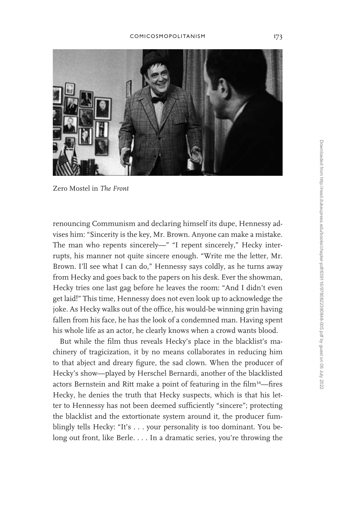

Zero Mostel in *The Front*

renouncing Communism and declaring himself its dupe, Hennessy advises him: "Sincerity is the key, Mr. Brown. Anyone can make a mistake. The man who repents sincerely—" "I repent sincerely," Hecky interrupts, his manner not quite sincere enough. "Write me the letter, Mr. Brown. I'll see what I can do," Hennessy says coldly, as he turns away from Hecky and goes back to the papers on his desk. Ever the showman, Hecky tries one last gag before he leaves the room: "And I didn't even get laid!" This time, Hennessy does not even look up to acknowledge the joke. As Hecky walks out of the office, his would-be winning grin having fallen from his face, he has the look of a condemned man. Having spent his whole life as an actor, he clearly knows when a crowd wants blood.

But while the film thus reveals Hecky's place in the blacklist's machinery of tragicization, it by no means collaborates in reducing him to that abject and dreary figure, the sad clown. When the producer of Hecky's show—played by Herschel Bernardi, another of the blacklisted actors Bernstein and Ritt make a point of featuring in the film<sup>34</sup>—fires Hecky, he denies the truth that Hecky suspects, which is that his letter to Hennessy has not been deemed sufficiently "sincere"; protecting the blacklist and the extortionate system around it, the producer fumblingly tells Hecky: "It's . . . your personality is too dominant. You belong out front, like Berle. . . . In a dramatic series, you're throwing the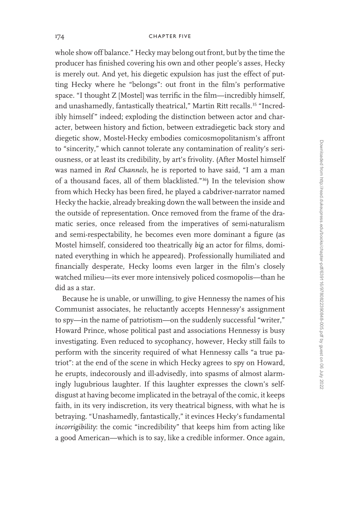whole show off balance." Hecky may belong out front, but by the time the producer has finished covering his own and other people's asses, Hecky is merely out. And yet, his diegetic expulsion has just the effect of putting Hecky where he "belongs": out front in the film's performative space. "I thought Z [Mostel] was terrific in the film—incredibly himself, and unashamedly, fantastically theatrical," Martin Ritt recalls.<sup>35</sup> "Incredibly himself" indeed; exploding the distinction between actor and character, between history and fiction, between extradiegetic back story and diegetic show, Mostel-Hecky embodies comicosmopolitanism's affront to "sincerity," which cannot tolerate any contamination of reality's seriousness, or at least its credibility, by art's frivolity. (After Mostel himself was named in *Red Channels*, he is reported to have said, "I am a man of a thousand faces, all of them blacklisted."<sup>36</sup>) In the television show from which Hecky has been fired, he played a cabdriver-narrator named Hecky the hackie, already breaking down the wall between the inside and the outside of representation. Once removed from the frame of the dramatic series, once released from the imperatives of semi-naturalism and semi-respectability, he becomes even more dominant a figure (as Mostel himself, considered too theatrically *big* an actor for films, dominated everything in which he appeared). Professionally humiliated and financially desperate, Hecky looms even larger in the film's closely watched milieu—its ever more intensively policed cosmopolis—than he did as a star.

Because he is unable, or unwilling, to give Hennessy the names of his Communist associates, he reluctantly accepts Hennessy's assignment to spy—in the name of patriotism—on the suddenly successful "writer," Howard Prince, whose political past and associations Hennessy is busy investigating. Even reduced to sycophancy, however, Hecky still fails to perform with the sincerity required of what Hennessy calls "a true patriot": at the end of the scene in which Hecky agrees to spy on Howard, he erupts, indecorously and ill-advisedly, into spasms of almost alarmingly lugubrious laughter. If this laughter expresses the clown's selfdisgust at having become implicated in the betrayal of the comic, it keeps faith, in its very indiscretion, its very theatrical bigness, with what he is betraying. "Unashamedly, fantastically," it evinces Hecky's fundamental *incorrigibility*: the comic "incredibility" that keeps him from acting like a good American—which is to say, like a credible informer. Once again,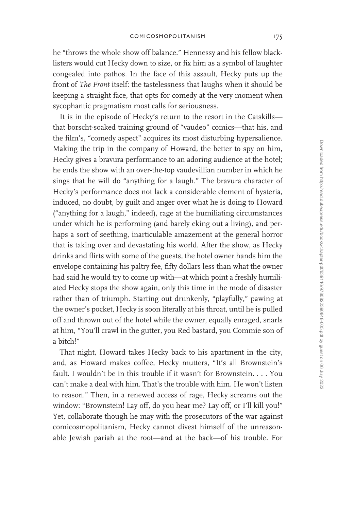he "throws the whole show off balance." Hennessy and his fellow blacklisters would cut Hecky down to size, or fix him as a symbol of laughter congealed into pathos. In the face of this assault, Hecky puts up the front of *The Front* itself: the tastelessness that laughs when it should be keeping a straight face, that opts for comedy at the very moment when sycophantic pragmatism most calls for seriousness.

It is in the episode of Hecky's return to the resort in the Catskills that borscht-soaked training ground of "vaudeo" comics—that his, and the film's, "comedy aspect" acquires its most disturbing hypersalience. Making the trip in the company of Howard, the better to spy on him, Hecky gives a bravura performance to an adoring audience at the hotel; he ends the show with an over-the-top vaudevillian number in which he sings that he will do "anything for a laugh." The bravura character of Hecky's performance does not lack a considerable element of hysteria, induced, no doubt, by guilt and anger over what he is doing to Howard ("anything for a laugh," indeed), rage at the humiliating circumstances under which he is performing (and barely eking out a living), and perhaps a sort of seething, inarticulable amazement at the general horror that is taking over and devastating his world. After the show, as Hecky drinks and flirts with some of the guests, the hotel owner hands him the envelope containing his paltry fee, fifty dollars less than what the owner had said he would try to come up with—at which point a freshly humiliated Hecky stops the show again, only this time in the mode of disaster rather than of triumph. Starting out drunkenly, "playfully," pawing at the owner's pocket, Hecky is soon literally at his throat, until he is pulled off and thrown out of the hotel while the owner, equally enraged, snarls at him, "You'll crawl in the gutter, you Red bastard, you Commie son of a bitch!"

That night, Howard takes Hecky back to his apartment in the city, and, as Howard makes coffee, Hecky mutters, "It's all Brownstein's fault. I wouldn't be in this trouble if it wasn't for Brownstein. . . . You can't make a deal with him. That's the trouble with him. He won't listen to reason." Then, in a renewed access of rage, Hecky screams out the window: "Brownstein! Lay off, do you hear me? Lay off, or I'll kill you!" Yet, collaborate though he may with the prosecutors of the war against comicosmopolitanism, Hecky cannot divest himself of the unreasonable Jewish pariah at the root—and at the back—of his trouble. For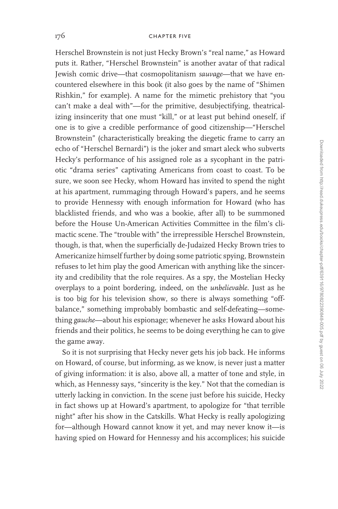Herschel Brownstein is not just Hecky Brown's "real name," as Howard puts it. Rather, "Herschel Brownstein" is another avatar of that radical Jewish comic drive—that cosmopolitanism *sauvage*—that we have encountered elsewhere in this book (it also goes by the name of "Shimen Rishkin," for example). A name for the mimetic prehistory that "you can't make a deal with"—for the primitive, desubjectifying, theatricalizing insincerity that one must "kill," or at least put behind oneself, if one is to give a credible performance of good citizenship—"Herschel Brownstein" (characteristically breaking the diegetic frame to carry an echo of "Herschel Bernardi") is the joker and smart aleck who subverts Hecky's performance of his assigned role as a sycophant in the patriotic "drama series" captivating Americans from coast to coast. To be sure, we soon see Hecky, whom Howard has invited to spend the night at his apartment, rummaging through Howard's papers, and he seems to provide Hennessy with enough information for Howard (who has blacklisted friends, and who was a bookie, after all) to be summoned before the House Un-American Activities Committee in the film's climactic scene. The "trouble with" the irrepressible Herschel Brownstein, though, is that, when the superficially de-Judaized Hecky Brown tries to Americanize himself further by doing some patriotic spying, Brownstein refuses to let him play the good American with anything like the sincerity and credibility that the role requires. As a spy, the Mostelian Hecky overplays to a point bordering, indeed, on the *unbelievable*. Just as he is too big for his television show, so there is always something "offbalance," something improbably bombastic and self-defeating—something *gauche*—about his espionage; whenever he asks Howard about his friends and their politics, he seems to be doing everything he can to give the game away.

So it is not surprising that Hecky never gets his job back. He informs on Howard, of course, but informing, as we know, is never just a matter of giving information: it is also, above all, a matter of tone and style, in which, as Hennessy says, "sincerity is the key." Not that the comedian is utterly lacking in conviction. In the scene just before his suicide, Hecky in fact shows up at Howard's apartment, to apologize for "that terrible night" after his show in the Catskills. What Hecky is really apologizing for—although Howard cannot know it yet, and may never know it—is having spied on Howard for Hennessy and his accomplices; his suicide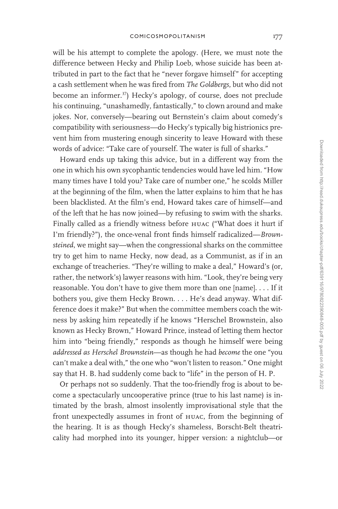will be his attempt to complete the apology. (Here, we must note the difference between Hecky and Philip Loeb, whose suicide has been attributed in part to the fact that he "never forgave himself" for accepting a cash settlement when he was fired from *The Goldbergs*, but who did not become an informer.<sup>37</sup>) Hecky's apology, of course, does not preclude his continuing, "unashamedly, fantastically," to clown around and make jokes. Nor, conversely—bearing out Bernstein's claim about comedy's compatibility with seriousness—do Hecky's typically big histrionics prevent him from mustering enough sincerity to leave Howard with these words of advice: "Take care of yourself. The water is full of sharks."

Howard ends up taking this advice, but in a different way from the one in which his own sycophantic tendencies would have led him. "How many times have I told you? Take care of number one," he scolds Miller at the beginning of the film, when the latter explains to him that he has been blacklisted. At the film's end, Howard takes care of himself—and of the left that he has now joined—by refusing to swim with the sharks. Finally called as a friendly witness before huac ("What does it hurt if I'm friendly?"), the once-venal front finds himself radicalized—*Brownsteined*, we might say—when the congressional sharks on the committee try to get him to name Hecky, now dead, as a Communist, as if in an exchange of treacheries. "They're willing to make a deal," Howard's (or, rather, the network's) lawyer reasons with him. "Look, they're being very reasonable. You don't have to give them more than one [name]. . . . If it bothers you, give them Hecky Brown. . . . He's dead anyway. What difference does it make?" But when the committee members coach the witness by asking him repeatedly if he knows "Herschel Brownstein, also known as Hecky Brown," Howard Prince, instead of letting them hector him into "being friendly," responds as though he himself were being *addressed as Herschel Brownstein*—as though he had *become* the one "you can't make a deal with," the one who "won't listen to reason." One might say that H. B. had suddenly come back to "life" in the person of H. P.

Or perhaps not so suddenly. That the too-friendly frog is about to become a spectacularly uncooperative prince (true to his last name) is intimated by the brash, almost insolently improvisational style that the front unexpectedly assumes in front of huac, from the beginning of the hearing. It is as though Hecky's shameless, Borscht-Belt theatricality had morphed into its younger, hipper version: a nightclub—or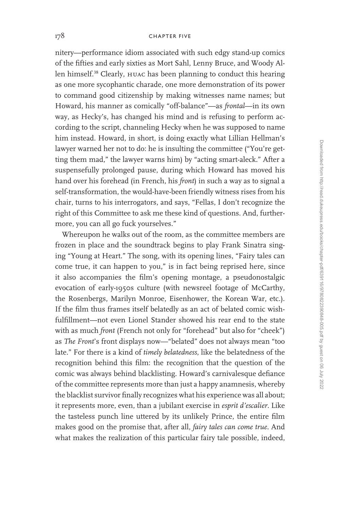nitery—performance idiom associated with such edgy stand-up comics of the fifties and early sixties as Mort Sahl, Lenny Bruce, and Woody Allen himself.<sup>38</sup> Clearly, huac has been planning to conduct this hearing as one more sycophantic charade, one more demonstration of its power to command good citizenship by making witnesses name names; but Howard, his manner as comically "off-balance"—as *frontal*—in its own way, as Hecky's, has changed his mind and is refusing to perform according to the script, channeling Hecky when he was supposed to name him instead. Howard, in short, is doing exactly what Lillian Hellman's lawyer warned her not to do: he is insulting the committee ("You're getting them mad," the lawyer warns him) by "acting smart-aleck." After a suspensefully prolonged pause, during which Howard has moved his hand over his forehead (in French, his *front*) in such a way as to signal a self-transformation, the would-have-been friendly witness rises from his chair, turns to his interrogators, and says, "Fellas, I don't recognize the right of this Committee to ask me these kind of questions. And, furthermore, you can all go fuck yourselves."

Whereupon he walks out of the room, as the committee members are frozen in place and the soundtrack begins to play Frank Sinatra singing "Young at Heart." The song, with its opening lines, "Fairy tales can come true, it can happen to you," is in fact being reprised here, since it also accompanies the film's opening montage, a pseudonostalgic evocation of early-1950s culture (with newsreel footage of McCarthy, the Rosenbergs, Marilyn Monroe, Eisenhower, the Korean War, etc.). If the film thus frames itself belatedly as an act of belated comic wishfulfillment—not even Lionel Stander showed his rear end to the state with as much *front* (French not only for "forehead" but also for "cheek") as *The Front*'s front displays now—"belated" does not always mean "too late." For there is a kind of *timely belatedness*, like the belatedness of the recognition behind this film: the recognition that the question of the comic was always behind blacklisting. Howard's carnivalesque defiance of the committee represents more than just a happy anamnesis, whereby the blacklist survivor finally recognizes what his experience was all about; it represents more, even, than a jubilant exercise in *esprit d'escalier*. Like the tasteless punch line uttered by its unlikely Prince, the entire film makes good on the promise that, after all, *fairy tales can come true*. And what makes the realization of this particular fairy tale possible, indeed,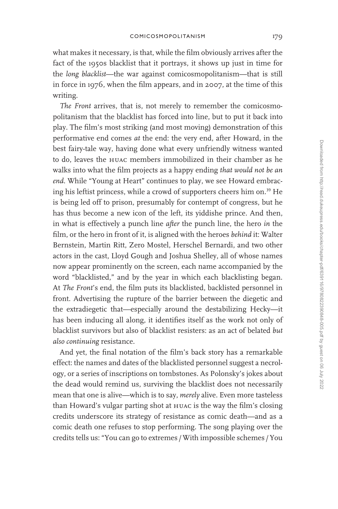what makes it necessary, is that, while the film obviously arrives after the fact of the 1950s blacklist that it portrays, it shows up just in time for the *long blacklist*—the war against comicosmopolitanism—that is still in force in 1976, when the film appears, and in 2007, at the time of this writing.

*The Front* arrives, that is, not merely to remember the comicosmopolitanism that the blacklist has forced into line, but to put it back into play. The film's most striking (and most moving) demonstration of this performative end comes *at* the end: the very end, after Howard, in the best fairy-tale way, having done what every unfriendly witness wanted to do, leaves the huac members immobilized in their chamber as he walks into what the film projects as a happy ending *that would not be an end*. While "Young at Heart" continues to play, we see Howard embracing his leftist princess, while a crowd of supporters cheers him on.<sup>39</sup> He is being led off to prison, presumably for contempt of congress, but he has thus become a new icon of the left, its yiddishe prince. And then, in what is effectively a punch line *after* the punch line, the hero *in* the film, or the hero in front of it, is aligned with the heroes *behind* it: Walter Bernstein, Martin Ritt, Zero Mostel, Herschel Bernardi, and two other actors in the cast, Lloyd Gough and Joshua Shelley, all of whose names now appear prominently on the screen, each name accompanied by the word "blacklisted," and by the year in which each blacklisting began. At *The Front*'s end, the film puts its blacklisted, backlisted personnel in front. Advertising the rupture of the barrier between the diegetic and the extradiegetic that—especially around the destabilizing Hecky—it has been inducing all along, it identifies itself as the work not only of blacklist survivors but also of blacklist resisters: as an act of belated *but also continuing* resistance.

And yet, the final notation of the film's back story has a remarkable effect: the names and dates of the blacklisted personnel suggest a necrology, or a series of inscriptions on tombstones. As Polonsky's jokes about the dead would remind us, surviving the blacklist does not necessarily mean that one is alive—which is to say, *merely* alive. Even more tasteless than Howard's vulgar parting shot at huac is the way the film's closing credits underscore its strategy of resistance as comic death—and as a comic death one refuses to stop performing. The song playing over the credits tells us: "You can go to extremes /With impossible schemes /You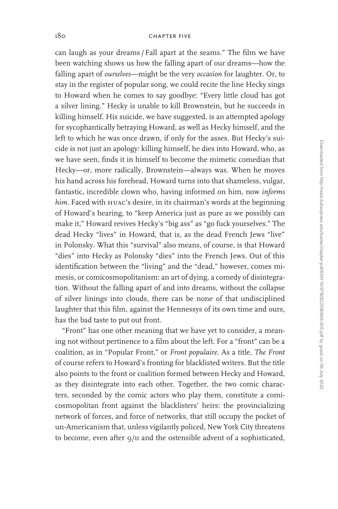can laugh as your dreams /Fall apart at the seams." The film we have been watching shows us how the falling apart of our dreams—how the falling apart of *ourselves*—might be the very *occasion* for laughter. Or, to stay in the register of popular song, we could recite the line Hecky sings to Howard when he comes to say goodbye: "Every little cloud has got a silver lining." Hecky is unable to kill Brownstein, but he succeeds in killing himself. His suicide, we have suggested, is an attempted apology for sycophantically betraying Howard, as well as Hecky himself, and the left to which he was once drawn, if only for the asses. But Hecky's suicide is not just an apology: killing himself, he dies into Howard, who, as we have seen, finds it in himself to become the mimetic comedian that Hecky—or, more radically, Brownstein—always was. When he moves his hand across his forehead, Howard turns into that shameless, vulgar, fantastic, incredible clown who, having informed on him, now *informs*  him. Faced with **HUAC's** desire, in its chairman's words at the beginning of Howard's hearing, to "keep America just as pure as we possibly can make it," Howard revives Hecky's "big ass" as "go fuck yourselves." The dead Hecky "lives" in Howard, that is, as the dead French Jews "live" in Polonsky. What this "survival" also means, of course, is that Howard "dies" into Hecky as Polonsky "dies" into the French Jews. Out of this identification between the "living" and the "dead," however, comes mimesis, or comicosmopolitanism: an art of dying, a comedy of disintegration. Without the falling apart of and into dreams, without the collapse of silver linings into clouds, there can be none of that undisciplined laughter that this film, against the Hennessys of its own time and ours, has the bad taste to put out front.

"Front" has one other meaning that we have yet to consider, a meaning not without pertinence to a film about the left. For a "front" can be a coalition, as in "Popular Front," or *Front populaire*. As a title, *The Front* of course refers to Howard's fronting for blacklisted writers. But the title also points to the front or coalition formed between Hecky and Howard, as they disintegrate into each other. Together, the two comic characters, seconded by the comic actors who play them, constitute a comicosmopolitan front against the blacklisters' heirs: the provincializing network of forces, and force of networks, that still occupy the pocket of un-Americanism that, unless vigilantly policed, New York City threatens to become, even after 9/11 and the ostensible advent of a sophisticated,